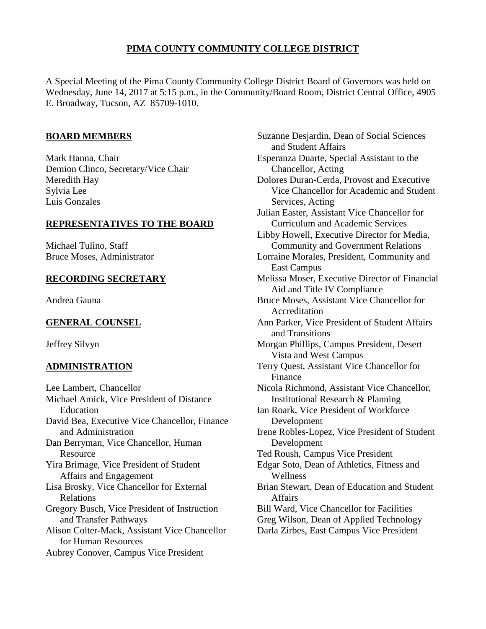# **PIMA COUNTY COMMUNITY COLLEGE DISTRICT**

A Special Meeting of the Pima County Community College District Board of Governors was held on Wednesday, June 14, 2017 at 5:15 p.m., in the Community/Board Room, District Central Office, 4905 E. Broadway, Tucson, AZ 85709-1010.

### **BOARD MEMBERS**

Mark Hanna, Chair Demion Clinco, Secretary/Vice Chair Meredith Hay Sylvia Lee Luis Gonzales

#### **REPRESENTATIVES TO THE BOARD**

Michael Tulino, Staff Bruce Moses, Administrator

#### **RECORDING SECRETARY**

Andrea Gauna

# **GENERAL COUNSEL**

Jeffrey Silvyn

# **ADMINISTRATION**

Lee Lambert, Chancellor Michael Amick, Vice President of Distance Education David Bea, Executive Vice Chancellor, Finance and Administration Dan Berryman, Vice Chancellor, Human Resource Yira Brimage, Vice President of Student Affairs and Engagement Lisa Brosky, Vice Chancellor for External Relations Gregory Busch, Vice President of Instruction and Transfer Pathways Alison Colter-Mack, Assistant Vice Chancellor for Human Resources Aubrey Conover, Campus Vice President

Suzanne Desjardin, Dean of Social Sciences and Student Affairs Esperanza Duarte, Special Assistant to the Chancellor, Acting Dolores Duran-Cerda, Provost and Executive Vice Chancellor for Academic and Student Services, Acting Julian Easter, Assistant Vice Chancellor for Curriculum and Academic Services Libby Howell, Executive Director for Media, Community and Government Relations Lorraine Morales, President, Community and East Campus Melissa Moser, Executive Director of Financial Aid and Title IV Compliance Bruce Moses, Assistant Vice Chancellor for Accreditation Ann Parker, Vice President of Student Affairs and Transitions Morgan Phillips, Campus President, Desert Vista and West Campus Terry Quest, Assistant Vice Chancellor for Finance Nicola Richmond, Assistant Vice Chancellor, Institutional Research & Planning Ian Roark, Vice President of Workforce Development Irene Robles-Lopez, Vice President of Student Development Ted Roush, Campus Vice President Edgar Soto, Dean of Athletics, Fitness and Wellness Brian Stewart, Dean of Education and Student Affairs Bill Ward, Vice Chancellor for Facilities Greg Wilson, Dean of Applied Technology Darla Zirbes, East Campus Vice President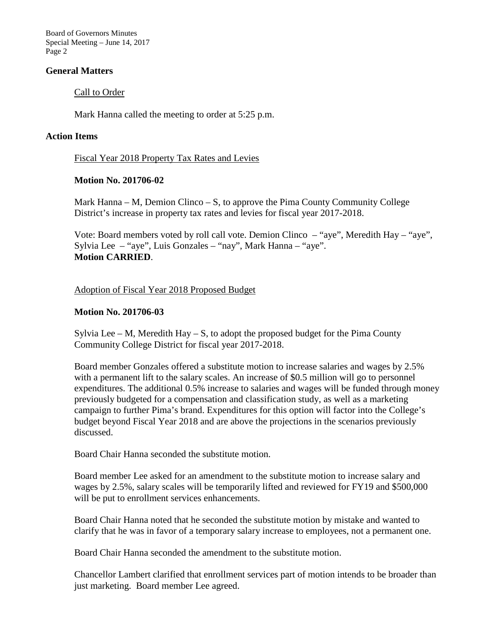Board of Governors Minutes Special Meeting – June 14, 2017 Page 2

### **General Matters**

### Call to Order

Mark Hanna called the meeting to order at 5:25 p.m.

#### **Action Items**

Fiscal Year 2018 Property Tax Rates and Levies

### **Motion No. 201706-02**

Mark Hanna – M, Demion Clinco – S, to approve the Pima County Community College District's increase in property tax rates and levies for fiscal year 2017-2018.

Vote: Board members voted by roll call vote. Demion Clinco – "aye", Meredith Hay – "aye", Sylvia Lee – "aye", Luis Gonzales – "nay", Mark Hanna – "aye". **Motion CARRIED**.

Adoption of Fiscal Year 2018 Proposed Budget

# **Motion No. 201706-03**

Sylvia Lee – M, Meredith Hay – S, to adopt the proposed budget for the Pima County Community College District for fiscal year 2017-2018.

Board member Gonzales offered a substitute motion to increase salaries and wages by 2.5% with a permanent lift to the salary scales. An increase of \$0.5 million will go to personnel expenditures. The additional 0.5% increase to salaries and wages will be funded through money previously budgeted for a compensation and classification study, as well as a marketing campaign to further Pima's brand. Expenditures for this option will factor into the College's budget beyond Fiscal Year 2018 and are above the projections in the scenarios previously discussed.

Board Chair Hanna seconded the substitute motion.

Board member Lee asked for an amendment to the substitute motion to increase salary and wages by 2.5%, salary scales will be temporarily lifted and reviewed for FY19 and \$500,000 will be put to enrollment services enhancements.

Board Chair Hanna noted that he seconded the substitute motion by mistake and wanted to clarify that he was in favor of a temporary salary increase to employees, not a permanent one.

Board Chair Hanna seconded the amendment to the substitute motion.

Chancellor Lambert clarified that enrollment services part of motion intends to be broader than just marketing. Board member Lee agreed.